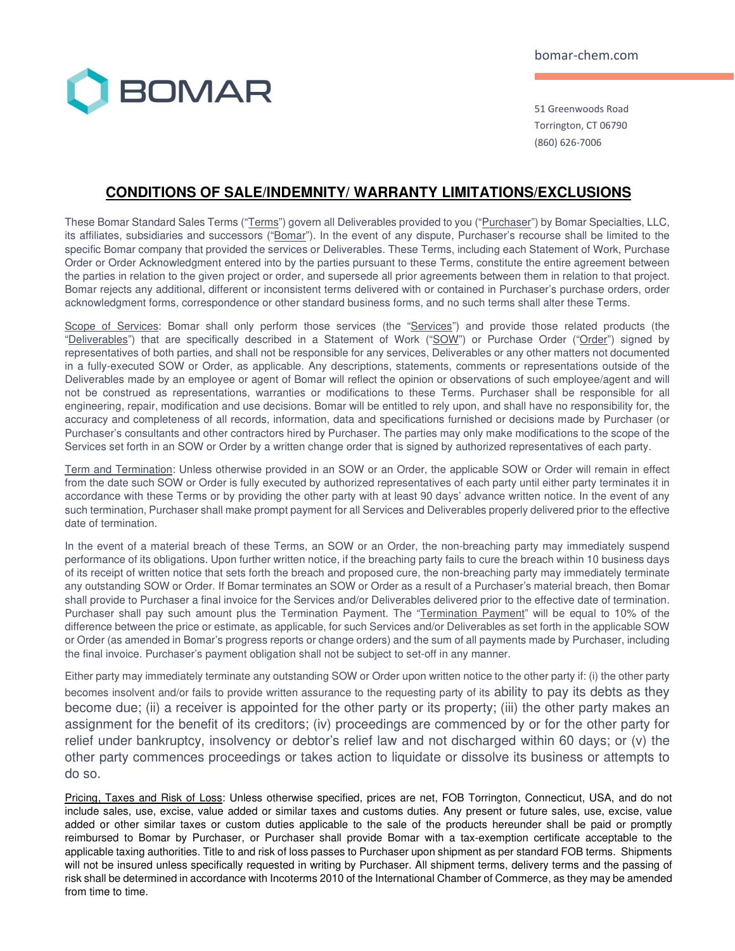

51 Greenwoods Road Torrington, CT 06790 (860) 626-7006

## **CONDITIONS OF SALE/INDEMNITY/ WARRANTY LIMITATIONS/EXCLUSIONS**

These Bomar Standard Sales Terms ("Terms") govern all Deliverables provided to you ("Purchaser") by Bomar Specialties, LLC, its affiliates, subsidiaries and successors ("Bomar"). In the event of any dispute, Purchaser's recourse shall be limited to the specific Bomar company that provided the services or Deliverables. These Terms, including each Statement of Work, Purchase Order or Order Acknowledgment entered into by the parties pursuant to these Terms, constitute the entire agreement between the parties in relation to the given project or order, and supersede all prior agreements between them in relation to that project. Bomar rejects any additional, different or inconsistent terms delivered with or contained in Purchaser's purchase orders, order acknowledgment forms, correspondence or other standard business forms, and no such terms shall alter these Terms.

Scope of Services: Bomar shall only perform those services (the "Services") and provide those related products (the "Deliverables") that are specifically described in a Statement of Work ("SOW") or Purchase Order ("Order") signed by representatives of both parties, and shall not be responsible for any services, Deliverables or any other matters not documented in a fully-executed SOW or Order, as applicable. Any descriptions, statements, comments or representations outside of the Deliverables made by an employee or agent of Bomar will reflect the opinion or observations of such employee/agent and will not be construed as representations, warranties or modifications to these Terms. Purchaser shall be responsible for all engineering, repair, modification and use decisions. Bomar will be entitled to rely upon, and shall have no responsibility for, the accuracy and completeness of all records, information, data and specifications furnished or decisions made by Purchaser (or Purchaser's consultants and other contractors hired by Purchaser. The parties may only make modifications to the scope of the Services set forth in an SOW or Order by a written change order that is signed by authorized representatives of each party.

Term and Termination: Unless otherwise provided in an SOW or an Order, the applicable SOW or Order will remain in effect from the date such SOW or Order is fully executed by authorized representatives of each party until either party terminates it in accordance with these Terms or by providing the other party with at least 90 days' advance written notice. In the event of any such termination, Purchaser shall make prompt payment for all Services and Deliverables properly delivered prior to the effective date of termination.

In the event of a material breach of these Terms, an SOW or an Order, the non-breaching party may immediately suspend performance of its obligations. Upon further written notice, if the breaching party fails to cure the breach within 10 business days of its receipt of written notice that sets forth the breach and proposed cure, the non-breaching party may immediately terminate any outstanding SOW or Order. If Bomar terminates an SOW or Order as a result of a Purchaser's material breach, then Bomar shall provide to Purchaser a final invoice for the Services and/or Deliverables delivered prior to the effective date of termination. Purchaser shall pay such amount plus the Termination Payment. The "Termination Payment" will be equal to 10% of the difference between the price or estimate, as applicable, for such Services and/or Deliverables as set forth in the applicable SOW or Order (as amended in Bomar's progress reports or change orders) and the sum of all payments made by Purchaser, including the final invoice. Purchaser's payment obligation shall not be subject to set-off in any manner.

Either party may immediately terminate any outstanding SOW or Order upon written notice to the other party if: (i) the other party becomes insolvent and/or fails to provide written assurance to the requesting party of its ability to pay its debts as they become due; (ii) a receiver is appointed for the other party or its property; (iii) the other party makes an assignment for the benefit of its creditors; (iv) proceedings are commenced by or for the other party for relief under bankruptcy, insolvency or debtor's relief law and not discharged within 60 days; or (v) the other party commences proceedings or takes action to liquidate or dissolve its business or attempts to do so.

Pricing, Taxes and Risk of Loss: Unless otherwise specified, prices are net, FOB Torrington, Connecticut, USA, and do not include sales, use, excise, value added or similar taxes and customs duties. Any present or future sales, use, excise, value added or other similar taxes or custom duties applicable to the sale of the products hereunder shall be paid or promptly reimbursed to Bomar by Purchaser, or Purchaser shall provide Bomar with a tax-exemption certificate acceptable to the applicable taxing authorities. Title to and risk of loss passes to Purchaser upon shipment as per standard FOB terms. Shipments will not be insured unless specifically requested in writing by Purchaser. All shipment terms, delivery terms and the passing of risk shall be determined in accordance with Incoterms 2010 of the International Chamber of Commerce, as they may be amended from time to time.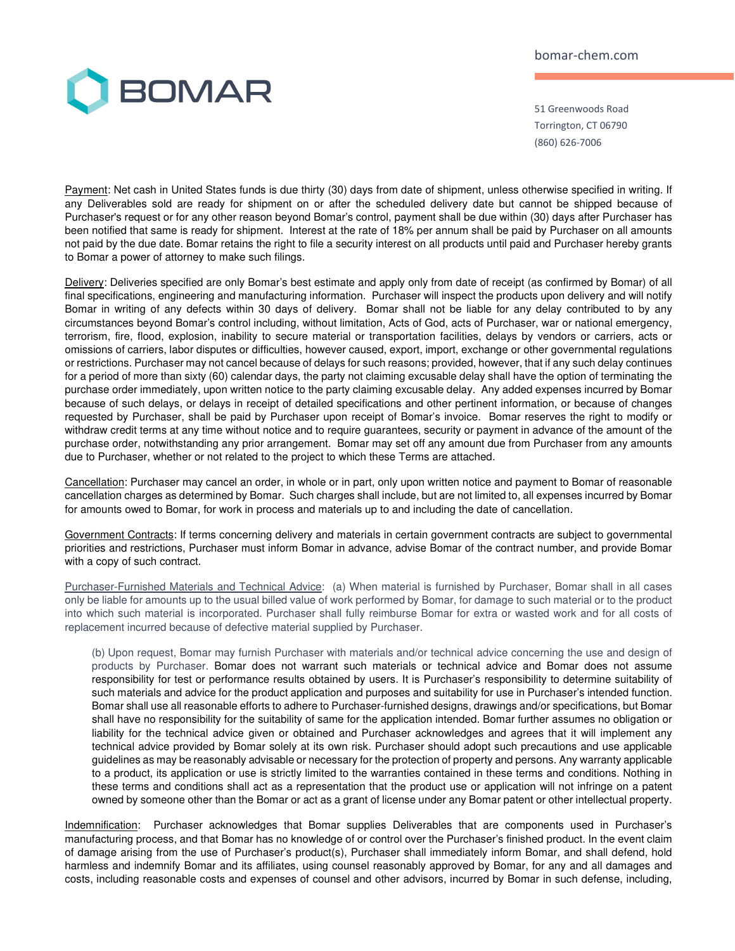bomar-chem.com



51 Greenwoods Road Torrington, CT 06790 (860) 626-7006

Payment: Net cash in United States funds is due thirty (30) days from date of shipment, unless otherwise specified in writing. If any Deliverables sold are ready for shipment on or after the scheduled delivery date but cannot be shipped because of Purchaser's request or for any other reason beyond Bomar's control, payment shall be due within (30) days after Purchaser has been notified that same is ready for shipment. Interest at the rate of 18% per annum shall be paid by Purchaser on all amounts not paid by the due date. Bomar retains the right to file a security interest on all products until paid and Purchaser hereby grants to Bomar a power of attorney to make such filings.

Delivery: Deliveries specified are only Bomar's best estimate and apply only from date of receipt (as confirmed by Bomar) of all final specifications, engineering and manufacturing information. Purchaser will inspect the products upon delivery and will notify Bomar in writing of any defects within 30 days of delivery. Bomar shall not be liable for any delay contributed to by any circumstances beyond Bomar's control including, without limitation, Acts of God, acts of Purchaser, war or national emergency, terrorism, fire, flood, explosion, inability to secure material or transportation facilities, delays by vendors or carriers, acts or omissions of carriers, labor disputes or difficulties, however caused, export, import, exchange or other governmental regulations or restrictions. Purchaser may not cancel because of delays for such reasons; provided, however, that if any such delay continues for a period of more than sixty (60) calendar days, the party not claiming excusable delay shall have the option of terminating the purchase order immediately, upon written notice to the party claiming excusable delay. Any added expenses incurred by Bomar because of such delays, or delays in receipt of detailed specifications and other pertinent information, or because of changes requested by Purchaser, shall be paid by Purchaser upon receipt of Bomar's invoice. Bomar reserves the right to modify or withdraw credit terms at any time without notice and to require guarantees, security or payment in advance of the amount of the purchase order, notwithstanding any prior arrangement. Bomar may set off any amount due from Purchaser from any amounts due to Purchaser, whether or not related to the project to which these Terms are attached.

Cancellation: Purchaser may cancel an order, in whole or in part, only upon written notice and payment to Bomar of reasonable cancellation charges as determined by Bomar. Such charges shall include, but are not limited to, all expenses incurred by Bomar for amounts owed to Bomar, for work in process and materials up to and including the date of cancellation.

Government Contracts: If terms concerning delivery and materials in certain government contracts are subject to governmental priorities and restrictions, Purchaser must inform Bomar in advance, advise Bomar of the contract number, and provide Bomar with a copy of such contract.

Purchaser-Furnished Materials and Technical Advice: (a) When material is furnished by Purchaser, Bomar shall in all cases only be liable for amounts up to the usual billed value of work performed by Bomar, for damage to such material or to the product into which such material is incorporated. Purchaser shall fully reimburse Bomar for extra or wasted work and for all costs of replacement incurred because of defective material supplied by Purchaser.

(b) Upon request, Bomar may furnish Purchaser with materials and/or technical advice concerning the use and design of products by Purchaser. Bomar does not warrant such materials or technical advice and Bomar does not assume responsibility for test or performance results obtained by users. It is Purchaser's responsibility to determine suitability of such materials and advice for the product application and purposes and suitability for use in Purchaser's intended function. Bomar shall use all reasonable efforts to adhere to Purchaser-furnished designs, drawings and/or specifications, but Bomar shall have no responsibility for the suitability of same for the application intended. Bomar further assumes no obligation or liability for the technical advice given or obtained and Purchaser acknowledges and agrees that it will implement any technical advice provided by Bomar solely at its own risk. Purchaser should adopt such precautions and use applicable guidelines as may be reasonably advisable or necessary for the protection of property and persons. Any warranty applicable to a product, its application or use is strictly limited to the warranties contained in these terms and conditions. Nothing in these terms and conditions shall act as a representation that the product use or application will not infringe on a patent owned by someone other than the Bomar or act as a grant of license under any Bomar patent or other intellectual property.

Indemnification: Purchaser acknowledges that Bomar supplies Deliverables that are components used in Purchaser's manufacturing process, and that Bomar has no knowledge of or control over the Purchaser's finished product. In the event claim of damage arising from the use of Purchaser's product(s), Purchaser shall immediately inform Bomar, and shall defend, hold harmless and indemnify Bomar and its affiliates, using counsel reasonably approved by Bomar, for any and all damages and costs, including reasonable costs and expenses of counsel and other advisors, incurred by Bomar in such defense, including,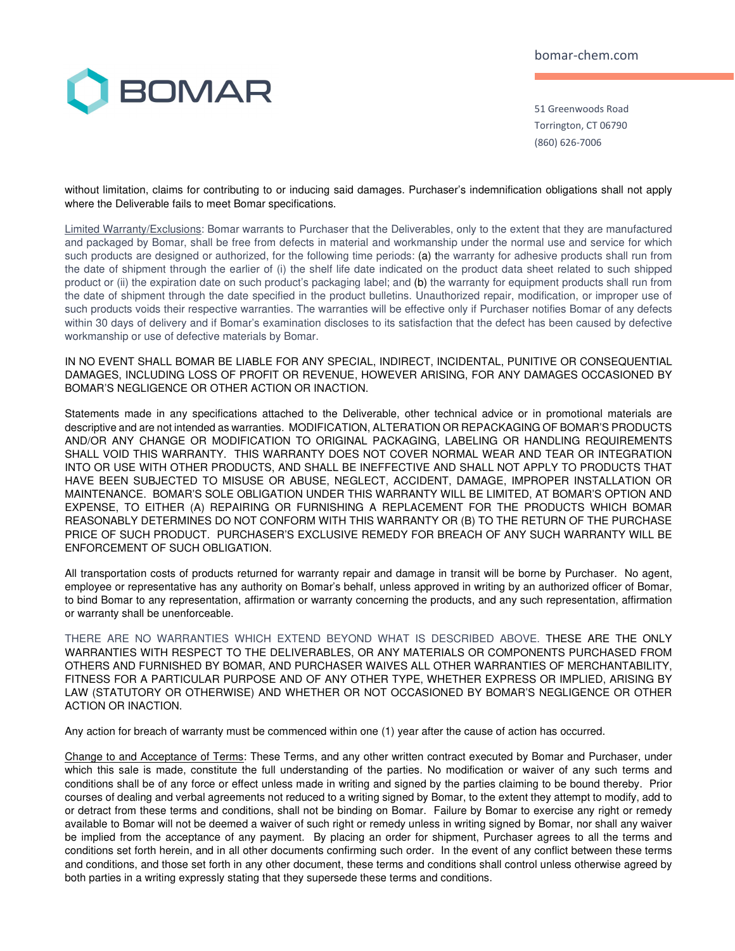bomar-chem.com



51 Greenwoods Road Torrington, CT 06790 (860) 626-7006

without limitation, claims for contributing to or inducing said damages. Purchaser's indemnification obligations shall not apply where the Deliverable fails to meet Bomar specifications.

Limited Warranty/Exclusions: Bomar warrants to Purchaser that the Deliverables, only to the extent that they are manufactured and packaged by Bomar, shall be free from defects in material and workmanship under the normal use and service for which such products are designed or authorized, for the following time periods: (a) the warranty for adhesive products shall run from the date of shipment through the earlier of (i) the shelf life date indicated on the product data sheet related to such shipped product or (ii) the expiration date on such product's packaging label; and (b) the warranty for equipment products shall run from the date of shipment through the date specified in the product bulletins. Unauthorized repair, modification, or improper use of such products voids their respective warranties. The warranties will be effective only if Purchaser notifies Bomar of any defects within 30 days of delivery and if Bomar's examination discloses to its satisfaction that the defect has been caused by defective workmanship or use of defective materials by Bomar.

IN NO EVENT SHALL BOMAR BE LIABLE FOR ANY SPECIAL, INDIRECT, INCIDENTAL, PUNITIVE OR CONSEQUENTIAL DAMAGES, INCLUDING LOSS OF PROFIT OR REVENUE, HOWEVER ARISING, FOR ANY DAMAGES OCCASIONED BY BOMAR'S NEGLIGENCE OR OTHER ACTION OR INACTION.

Statements made in any specifications attached to the Deliverable, other technical advice or in promotional materials are descriptive and are not intended as warranties. MODIFICATION, ALTERATION OR REPACKAGING OF BOMAR'S PRODUCTS AND/OR ANY CHANGE OR MODIFICATION TO ORIGINAL PACKAGING, LABELING OR HANDLING REQUIREMENTS SHALL VOID THIS WARRANTY. THIS WARRANTY DOES NOT COVER NORMAL WEAR AND TEAR OR INTEGRATION INTO OR USE WITH OTHER PRODUCTS, AND SHALL BE INEFFECTIVE AND SHALL NOT APPLY TO PRODUCTS THAT HAVE BEEN SUBJECTED TO MISUSE OR ABUSE, NEGLECT, ACCIDENT, DAMAGE, IMPROPER INSTALLATION OR MAINTENANCE. BOMAR'S SOLE OBLIGATION UNDER THIS WARRANTY WILL BE LIMITED, AT BOMAR'S OPTION AND EXPENSE, TO EITHER (A) REPAIRING OR FURNISHING A REPLACEMENT FOR THE PRODUCTS WHICH BOMAR REASONABLY DETERMINES DO NOT CONFORM WITH THIS WARRANTY OR (B) TO THE RETURN OF THE PURCHASE PRICE OF SUCH PRODUCT. PURCHASER'S EXCLUSIVE REMEDY FOR BREACH OF ANY SUCH WARRANTY WILL BE ENFORCEMENT OF SUCH OBLIGATION.

All transportation costs of products returned for warranty repair and damage in transit will be borne by Purchaser. No agent, employee or representative has any authority on Bomar's behalf, unless approved in writing by an authorized officer of Bomar, to bind Bomar to any representation, affirmation or warranty concerning the products, and any such representation, affirmation or warranty shall be unenforceable.

THERE ARE NO WARRANTIES WHICH EXTEND BEYOND WHAT IS DESCRIBED ABOVE. THESE ARE THE ONLY WARRANTIES WITH RESPECT TO THE DELIVERABLES, OR ANY MATERIALS OR COMPONENTS PURCHASED FROM OTHERS AND FURNISHED BY BOMAR, AND PURCHASER WAIVES ALL OTHER WARRANTIES OF MERCHANTABILITY, FITNESS FOR A PARTICULAR PURPOSE AND OF ANY OTHER TYPE, WHETHER EXPRESS OR IMPLIED, ARISING BY LAW (STATUTORY OR OTHERWISE) AND WHETHER OR NOT OCCASIONED BY BOMAR'S NEGLIGENCE OR OTHER ACTION OR INACTION.

Any action for breach of warranty must be commenced within one (1) year after the cause of action has occurred.

Change to and Acceptance of Terms: These Terms, and any other written contract executed by Bomar and Purchaser, under which this sale is made, constitute the full understanding of the parties. No modification or waiver of any such terms and conditions shall be of any force or effect unless made in writing and signed by the parties claiming to be bound thereby. Prior courses of dealing and verbal agreements not reduced to a writing signed by Bomar, to the extent they attempt to modify, add to or detract from these terms and conditions, shall not be binding on Bomar. Failure by Bomar to exercise any right or remedy available to Bomar will not be deemed a waiver of such right or remedy unless in writing signed by Bomar, nor shall any waiver be implied from the acceptance of any payment. By placing an order for shipment, Purchaser agrees to all the terms and conditions set forth herein, and in all other documents confirming such order. In the event of any conflict between these terms and conditions, and those set forth in any other document, these terms and conditions shall control unless otherwise agreed by both parties in a writing expressly stating that they supersede these terms and conditions.